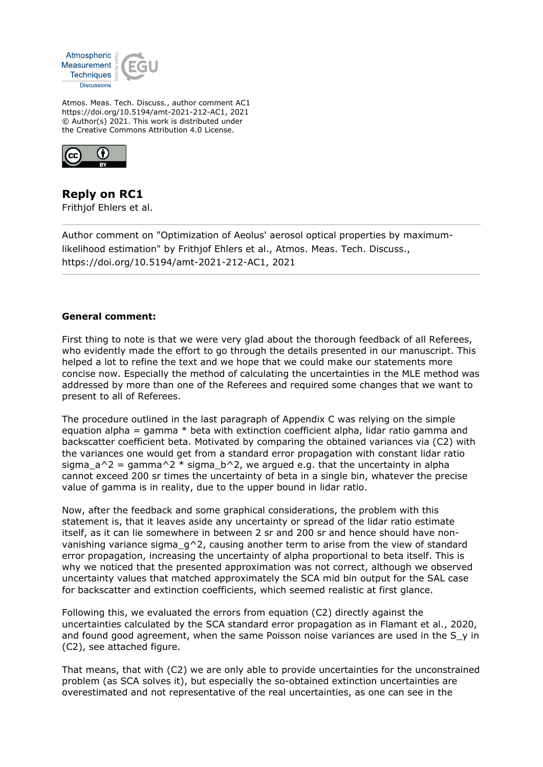

Atmos. Meas. Tech. Discuss., author comment AC1 https://doi.org/10.5194/amt-2021-212-AC1, 2021 © Author(s) 2021. This work is distributed under the Creative Commons Attribution 4.0 License.



**Reply on RC1** Frithjof Ehlers et al.

Author comment on "Optimization of Aeolus' aerosol optical properties by maximumlikelihood estimation" by Frithjof Ehlers et al., Atmos. Meas. Tech. Discuss., https://doi.org/10.5194/amt-2021-212-AC1, 2021

## **General comment:**

First thing to note is that we were very glad about the thorough feedback of all Referees, who evidently made the effort to go through the details presented in our manuscript. This helped a lot to refine the text and we hope that we could make our statements more concise now. Especially the method of calculating the uncertainties in the MLE method was addressed by more than one of the Referees and required some changes that we want to present to all of Referees.

The procedure outlined in the last paragraph of Appendix C was relying on the simple equation alpha = gamma  $*$  beta with extinction coefficient alpha, lidar ratio gamma and backscatter coefficient beta. Motivated by comparing the obtained variances via (C2) with the variances one would get from a standard error propagation with constant lidar ratio sigma  $a^2$  = gamma<sup>2</sup> \* sigma b<sup>2</sup>, we argued e.g. that the uncertainty in alpha cannot exceed 200 sr times the uncertainty of beta in a single bin, whatever the precise value of gamma is in reality, due to the upper bound in lidar ratio.

Now, after the feedback and some graphical considerations, the problem with this statement is, that it leaves aside any uncertainty or spread of the lidar ratio estimate itself, as it can lie somewhere in between 2 sr and 200 sr and hence should have nonvanishing variance sigma  $q^2$ , causing another term to arise from the view of standard error propagation, increasing the uncertainty of alpha proportional to beta itself. This is why we noticed that the presented approximation was not correct, although we observed uncertainty values that matched approximately the SCA mid bin output for the SAL case for backscatter and extinction coefficients, which seemed realistic at first glance.

Following this, we evaluated the errors from equation (C2) directly against the uncertainties calculated by the SCA standard error propagation as in Flamant et al., 2020, and found good agreement, when the same Poisson noise variances are used in the S y in (C2), see attached figure.

That means, that with (C2) we are only able to provide uncertainties for the unconstrained problem (as SCA solves it), but especially the so-obtained extinction uncertainties are overestimated and not representative of the real uncertainties, as one can see in the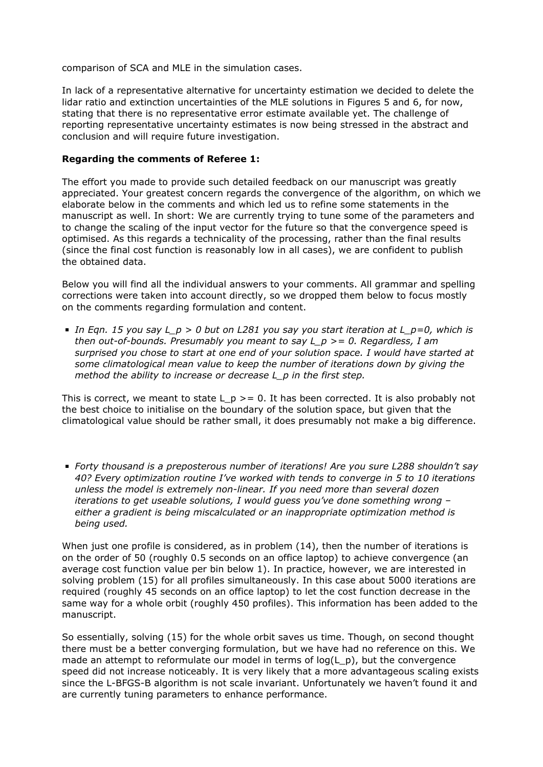comparison of SCA and MLE in the simulation cases.

In lack of a representative alternative for uncertainty estimation we decided to delete the lidar ratio and extinction uncertainties of the MLE solutions in Figures 5 and 6, for now, stating that there is no representative error estimate available yet. The challenge of reporting representative uncertainty estimates is now being stressed in the abstract and conclusion and will require future investigation.

## **Regarding the comments of Referee 1:**

The effort you made to provide such detailed feedback on our manuscript was greatly appreciated. Your greatest concern regards the convergence of the algorithm, on which we elaborate below in the comments and which led us to refine some statements in the manuscript as well. In short: We are currently trying to tune some of the parameters and to change the scaling of the input vector for the future so that the convergence speed is optimised. As this regards a technicality of the processing, rather than the final results (since the final cost function is reasonably low in all cases), we are confident to publish the obtained data.

Below you will find all the individual answers to your comments. All grammar and spelling corrections were taken into account directly, so we dropped them below to focus mostly on the comments regarding formulation and content.

*In Eqn. 15 you say L\_p > 0 but on L281 you say you start iteration at L\_p=0, which is then out-of-bounds. Presumably you meant to say L\_p >= 0. Regardless, I am surprised you chose to start at one end of your solution space. I would have started at some climatological mean value to keep the number of iterations down by giving the method the ability to increase or decrease L\_p in the first step.*

This is correct, we meant to state L  $p \ge 0$ . It has been corrected. It is also probably not the best choice to initialise on the boundary of the solution space, but given that the climatological value should be rather small, it does presumably not make a big difference.

*Forty thousand is a preposterous number of iterations! Are you sure L288 shouldn't say 40? Every optimization routine I've worked with tends to converge in 5 to 10 iterations unless the model is extremely non-linear. If you need more than several dozen iterations to get useable solutions, I would guess you've done something wrong – either a gradient is being miscalculated or an inappropriate optimization method is being used.*

When just one profile is considered, as in problem (14), then the number of iterations is on the order of 50 (roughly 0.5 seconds on an office laptop) to achieve convergence (an average cost function value per bin below 1). In practice, however, we are interested in solving problem (15) for all profiles simultaneously. In this case about 5000 iterations are required (roughly 45 seconds on an office laptop) to let the cost function decrease in the same way for a whole orbit (roughly 450 profiles). This information has been added to the manuscript.

So essentially, solving (15) for the whole orbit saves us time. Though, on second thought there must be a better converging formulation, but we have had no reference on this. We made an attempt to reformulate our model in terms of  $log(L p)$ , but the convergence speed did not increase noticeably. It is very likely that a more advantageous scaling exists since the L-BFGS-B algorithm is not scale invariant. Unfortunately we haven't found it and are currently tuning parameters to enhance performance.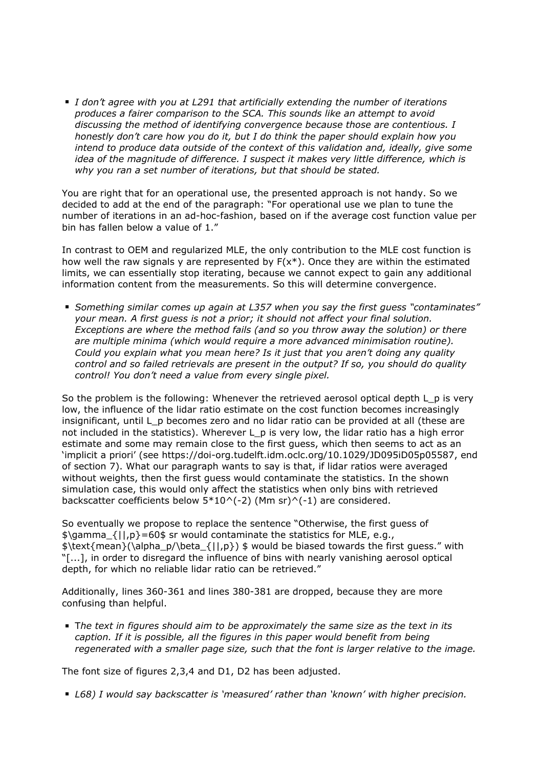*I don't agree with you at L291 that artificially extending the number of iterations produces a fairer comparison to the SCA. This sounds like an attempt to avoid discussing the method of identifying convergence because those are contentious. I honestly don't care how you do it, but I do think the paper should explain how you intend to produce data outside of the context of this validation and, ideally, give some idea of the magnitude of difference. I suspect it makes very little difference, which is why you ran a set number of iterations, but that should be stated.*

You are right that for an operational use, the presented approach is not handy. So we decided to add at the end of the paragraph: "For operational use we plan to tune the number of iterations in an ad-hoc-fashion, based on if the average cost function value per bin has fallen below a value of 1."

In contrast to OEM and regularized MLE, the only contribution to the MLE cost function is how well the raw signals y are represented by  $F(x^*)$ . Once they are within the estimated limits, we can essentially stop iterating, because we cannot expect to gain any additional information content from the measurements. So this will determine convergence.

*Something similar comes up again at L357 when you say the first guess "contaminates" your mean. A first guess is not a prior; it should not affect your final solution. Exceptions are where the method fails (and so you throw away the solution) or there are multiple minima (which would require a more advanced minimisation routine). Could you explain what you mean here? Is it just that you aren't doing any quality control and so failed retrievals are present in the output? If so, you should do quality control! You don't need a value from every single pixel.*

So the problem is the following: Whenever the retrieved aerosol optical depth L p is very low, the influence of the lidar ratio estimate on the cost function becomes increasingly insignificant, until L p becomes zero and no lidar ratio can be provided at all (these are not included in the statistics). Wherever L\_p is very low, the lidar ratio has a high error estimate and some may remain close to the first guess, which then seems to act as an 'implicit a priori' (see https://doi-org.tudelft.idm.oclc.org/10.1029/JD095iD05p05587, end of section 7). What our paragraph wants to say is that, if lidar ratios were averaged without weights, then the first guess would contaminate the statistics. In the shown simulation case, this would only affect the statistics when only bins with retrieved backscatter coefficients below  $5*10^(-2)$  (Mm sr)^(-1) are considered.

So eventually we propose to replace the sentence "Otherwise, the first guess of  $\gamma_{\text{gamma}}$  { $|1,p\rangle$ =60\$ sr would contaminate the statistics for MLE, e.g.,  $\text{mean}(\\alpha_p/\beta_{||,p}) \$  would be biased towards the first guess." with "[...], in order to disregard the influence of bins with nearly vanishing aerosol optical depth, for which no reliable lidar ratio can be retrieved."

Additionally, lines 360-361 and lines 380-381 are dropped, because they are more confusing than helpful.

T*he text in figures should aim to be approximately the same size as the text in its caption. If it is possible, all the figures in this paper would benefit from being regenerated with a smaller page size, such that the font is larger relative to the image.*

The font size of figures 2,3,4 and D1, D2 has been adjusted.

*L68) I would say backscatter is 'measured' rather than 'known' with higher precision.*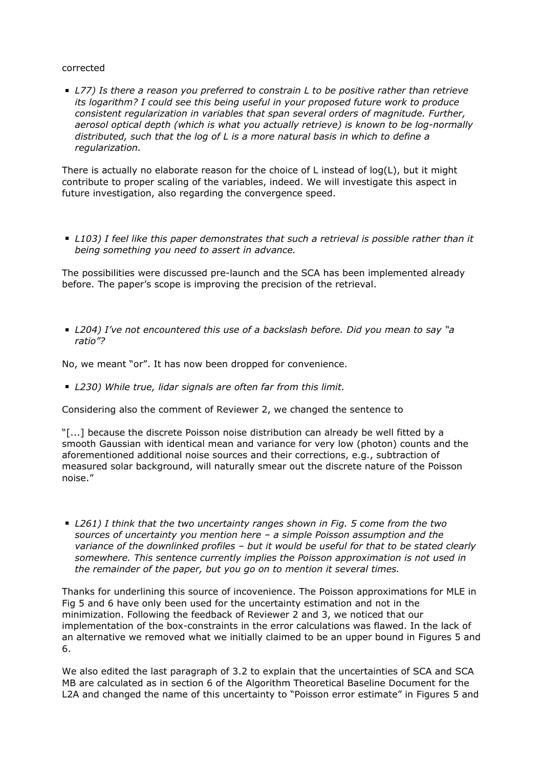## corrected

*L77) Is there a reason you preferred to constrain L to be positive rather than retrieve its logarithm? I could see this being useful in your proposed future work to produce consistent regularization in variables that span several orders of magnitude. Further, aerosol optical depth (which is what you actually retrieve) is known to be log-normally distributed, such that the log of L is a more natural basis in which to define a regularization.*

There is actually no elaborate reason for the choice of L instead of log(L), but it might contribute to proper scaling of the variables, indeed. We will investigate this aspect in future investigation, also regarding the convergence speed.

*L103) I feel like this paper demonstrates that such a retrieval is possible rather than it being something you need to assert in advance.*

The possibilities were discussed pre-launch and the SCA has been implemented already before. The paper's scope is improving the precision of the retrieval.

*L204) I've not encountered this use of a backslash before. Did you mean to say "a ratio"?*

No, we meant "or". It has now been dropped for convenience.

*L230) While true, lidar signals are often far from this limit.*

Considering also the comment of Reviewer 2, we changed the sentence to

"[...] because the discrete Poisson noise distribution can already be well fitted by a smooth Gaussian with identical mean and variance for very low (photon) counts and the aforementioned additional noise sources and their corrections, e.g., subtraction of measured solar background, will naturally smear out the discrete nature of the Poisson noise."

*L261) I think that the two uncertainty ranges shown in Fig. 5 come from the two sources of uncertainty you mention here – a simple Poisson assumption and the variance of the downlinked profiles – but it would be useful for that to be stated clearly somewhere. This sentence currently implies the Poisson approximation is not used in the remainder of the paper, but you go on to mention it several times.*

Thanks for underlining this source of incovenience. The Poisson approximations for MLE in Fig 5 and 6 have only been used for the uncertainty estimation and not in the minimization. Following the feedback of Reviewer 2 and 3, we noticed that our implementation of the box-constraints in the error calculations was flawed. In the lack of an alternative we removed what we initially claimed to be an upper bound in Figures 5 and 6.

We also edited the last paragraph of 3.2 to explain that the uncertainties of SCA and SCA MB are calculated as in section 6 of the Algorithm Theoretical Baseline Document for the L2A and changed the name of this uncertainty to "Poisson error estimate" in Figures 5 and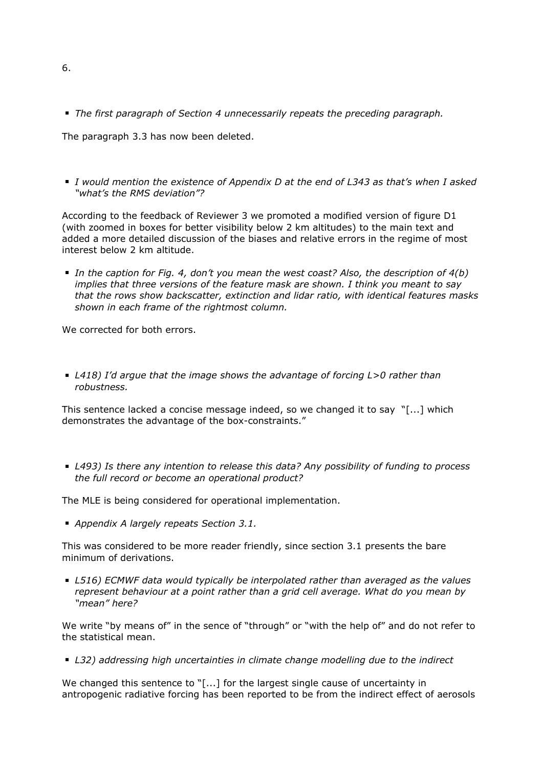*The first paragraph of Section 4 unnecessarily repeats the preceding paragraph.*

The paragraph 3.3 has now been deleted.

*I would mention the existence of Appendix D at the end of L343 as that's when I asked "what's the RMS deviation"?*

According to the feedback of Reviewer 3 we promoted a modified version of figure D1 (with zoomed in boxes for better visibility below 2 km altitudes) to the main text and added a more detailed discussion of the biases and relative errors in the regime of most interest below 2 km altitude.

*In the caption for Fig. 4, don't you mean the west coast? Also, the description of 4(b) implies that three versions of the feature mask are shown. I think you meant to say that the rows show backscatter, extinction and lidar ratio, with identical features masks shown in each frame of the rightmost column.*

We corrected for both errors.

*L418) I'd argue that the image shows the advantage of forcing L>0 rather than robustness.*

This sentence lacked a concise message indeed, so we changed it to say "[...] which demonstrates the advantage of the box-constraints."

*L493) Is there any intention to release this data? Any possibility of funding to process the full record or become an operational product?*

The MLE is being considered for operational implementation.

*Appendix A largely repeats Section 3.1.*

This was considered to be more reader friendly, since section 3.1 presents the bare minimum of derivations.

*L516) ECMWF data would typically be interpolated rather than averaged as the values represent behaviour at a point rather than a grid cell average. What do you mean by "mean" here?*

We write "by means of" in the sence of "through" or "with the help of" and do not refer to the statistical mean.

*L32) addressing high uncertainties in climate change modelling due to the indirect*

We changed this sentence to "[...] for the largest single cause of uncertainty in antropogenic radiative forcing has been reported to be from the indirect effect of aerosols

6.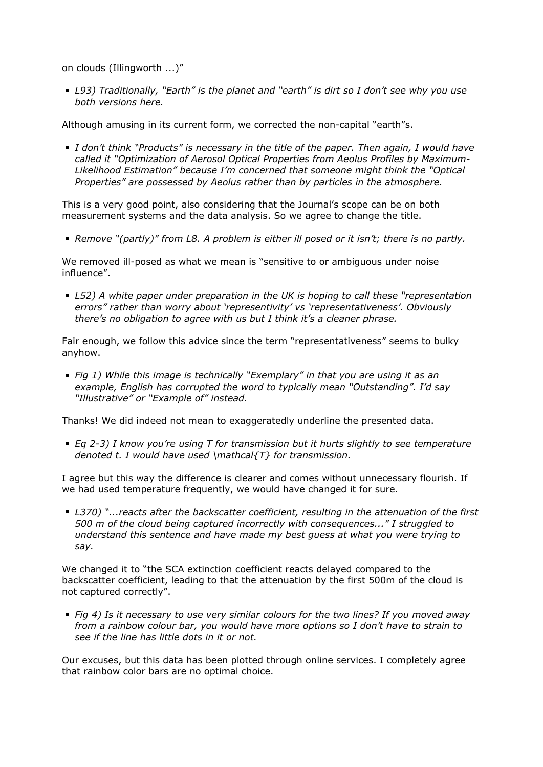on clouds (Illingworth ...)"

*L93) Traditionally, "Earth" is the planet and "earth" is dirt so I don't see why you use both versions here.*

Although amusing in its current form, we corrected the non-capital "earth"s.

*I don't think "Products" is necessary in the title of the paper. Then again, I would have called it "Optimization of Aerosol Optical Properties from Aeolus Profiles by Maximum-Likelihood Estimation" because I'm concerned that someone might think the "Optical Properties" are possessed by Aeolus rather than by particles in the atmosphere.*

This is a very good point, also considering that the Journal's scope can be on both measurement systems and the data analysis. So we agree to change the title.

*Remove "(partly)" from L8. A problem is either ill posed or it isn't; there is no partly.*

We removed ill-posed as what we mean is "sensitive to or ambiguous under noise influence".

*L52) A white paper under preparation in the UK is hoping to call these "representation errors" rather than worry about 'representivity' vs 'representativeness'. Obviously there's no obligation to agree with us but I think it's a cleaner phrase.*

Fair enough, we follow this advice since the term "representativeness" seems to bulky anyhow.

*Fig 1) While this image is technically "Exemplary" in that you are using it as an example, English has corrupted the word to typically mean "Outstanding". I'd say "Illustrative" or "Example of" instead.*

Thanks! We did indeed not mean to exaggeratedly underline the presented data.

*Eq 2-3) I know you're using T for transmission but it hurts slightly to see temperature denoted t. I would have used \mathcal{T} for transmission.*

I agree but this way the difference is clearer and comes without unnecessary flourish. If we had used temperature frequently, we would have changed it for sure.

*L370) "...reacts after the backscatter coefficient, resulting in the attenuation of the first 500 m of the cloud being captured incorrectly with consequences..." I struggled to understand this sentence and have made my best guess at what you were trying to say.*

We changed it to "the SCA extinction coefficient reacts delayed compared to the backscatter coefficient, leading to that the attenuation by the first 500m of the cloud is not captured correctly".

*Fig 4) Is it necessary to use very similar colours for the two lines? If you moved away from a rainbow colour bar, you would have more options so I don't have to strain to see if the line has little dots in it or not.*

Our excuses, but this data has been plotted through online services. I completely agree that rainbow color bars are no optimal choice.